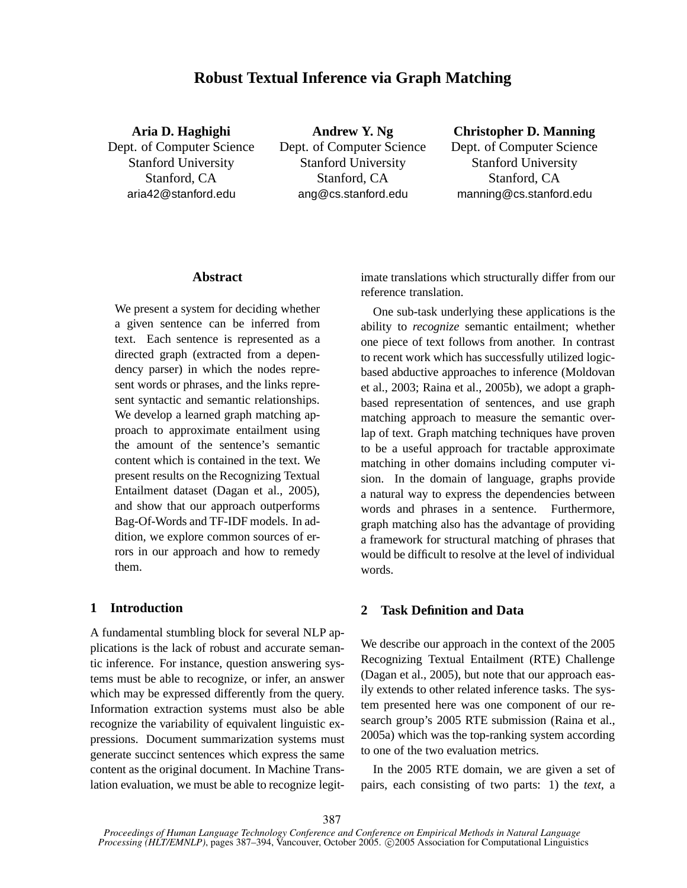# **Robust Textual Inference via Graph Matching**

**Aria D. Haghighi** Dept. of Computer Science Stanford University Stanford, CA aria42@stanford.edu

**Andrew Y. Ng** Dept. of Computer Science Stanford University Stanford, CA ang@cs.stanford.edu

## **Christopher D. Manning**

Dept. of Computer Science Stanford University Stanford, CA manning@cs.stanford.edu

## **Abstract**

We present a system for deciding whether a given sentence can be inferred from text. Each sentence is represented as a directed graph (extracted from a dependency parser) in which the nodes represent words or phrases, and the links represent syntactic and semantic relationships. We develop a learned graph matching approach to approximate entailment using the amount of the sentence's semantic content which is contained in the text. We present results on the Recognizing Textual Entailment dataset (Dagan et al., 2005), and show that our approach outperforms Bag-Of-Words and TF-IDF models. In addition, we explore common sources of errors in our approach and how to remedy them.

## **1 Introduction**

A fundamental stumbling block for several NLP applications is the lack of robust and accurate semantic inference. For instance, question answering systems must be able to recognize, or infer, an answer which may be expressed differently from the query. Information extraction systems must also be able recognize the variability of equivalent linguistic expressions. Document summarization systems must generate succinct sentences which express the same content as the original document. In Machine Translation evaluation, we must be able to recognize legitimate translations which structurally differ from our reference translation.

One sub-task underlying these applications is the ability to *recognize* semantic entailment; whether one piece of text follows from another. In contrast to recent work which has successfully utilized logicbased abductive approaches to inference (Moldovan et al., 2003; Raina et al., 2005b), we adopt a graphbased representation of sentences, and use graph matching approach to measure the semantic overlap of text. Graph matching techniques have proven to be a useful approach for tractable approximate matching in other domains including computer vision. In the domain of language, graphs provide a natural way to express the dependencies between words and phrases in a sentence. Furthermore, graph matching also has the advantage of providing a framework for structural matching of phrases that would be difficult to resolve at the level of individual words.

## **2 Task Definition and Data**

We describe our approach in the context of the 2005 Recognizing Textual Entailment (RTE) Challenge (Dagan et al., 2005), but note that our approach easily extends to other related inference tasks. The system presented here was one component of our research group's 2005 RTE submission (Raina et al., 2005a) which was the top-ranking system according to one of the two evaluation metrics.

In the 2005 RTE domain, we are given a set of pairs, each consisting of two parts: 1) the *text*, a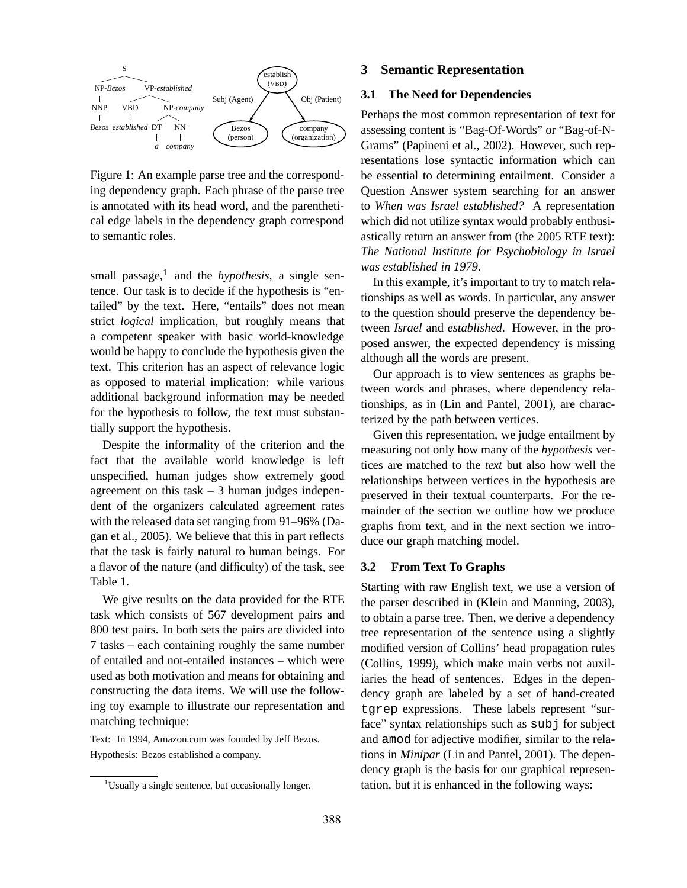

Figure 1: An example parse tree and the corresponding dependency graph. Each phrase of the parse tree is annotated with its head word, and the parenthetical edge labels in the dependency graph correspond to semantic roles.

small passage,<sup>1</sup> and the *hypothesis*, a single sentence. Our task is to decide if the hypothesis is "entailed" by the text. Here, "entails" does not mean strict *logical* implication, but roughly means that a competent speaker with basic world-knowledge would be happy to conclude the hypothesis given the text. This criterion has an aspect of relevance logic as opposed to material implication: while various additional background information may be needed for the hypothesis to follow, the text must substantially support the hypothesis.

Despite the informality of the criterion and the fact that the available world knowledge is left unspecified, human judges show extremely good agreement on this task  $-3$  human judges independent of the organizers calculated agreement rates with the released data set ranging from 91–96% (Dagan et al., 2005). We believe that this in part reflects that the task is fairly natural to human beings. For a flavor of the nature (and difficulty) of the task, see Table 1.

We give results on the data provided for the RTE task which consists of 567 development pairs and 800 test pairs. In both sets the pairs are divided into 7 tasks – each containing roughly the same number of entailed and not-entailed instances – which were used as both motivation and means for obtaining and constructing the data items. We will use the following toy example to illustrate our representation and matching technique:

Text: In 1994, Amazon.com was founded by Jeff Bezos. Hypothesis: Bezos established a company.

### **3 Semantic Representation**

#### **3.1 The Need for Dependencies**

Perhaps the most common representation of text for assessing content is "Bag-Of-Words" or "Bag-of-N-Grams" (Papineni et al., 2002). However, such representations lose syntactic information which can be essential to determining entailment. Consider a Question Answer system searching for an answer to *When was Israel established?* A representation which did not utilize syntax would probably enthusiastically return an answer from (the 2005 RTE text): *The National Institute for Psychobiology in Israel was established in 1979*.

In this example, it's important to try to match relationships as well as words. In particular, any answer to the question should preserve the dependency between *Israel* and *established*. However, in the proposed answer, the expected dependency is missing although all the words are present.

Our approach is to view sentences as graphs between words and phrases, where dependency relationships, as in (Lin and Pantel, 2001), are characterized by the path between vertices.

Given this representation, we judge entailment by measuring not only how many of the *hypothesis* vertices are matched to the *text* but also how well the relationships between vertices in the hypothesis are preserved in their textual counterparts. For the remainder of the section we outline how we produce graphs from text, and in the next section we introduce our graph matching model.

#### **3.2 From Text To Graphs**

Starting with raw English text, we use a version of the parser described in (Klein and Manning, 2003), to obtain a parse tree. Then, we derive a dependency tree representation of the sentence using a slightly modified version of Collins' head propagation rules (Collins, 1999), which make main verbs not auxiliaries the head of sentences. Edges in the dependency graph are labeled by a set of hand-created tgrep expressions. These labels represent "surface" syntax relationships such as subj for subject and amod for adjective modifier, similar to the relations in *Minipar* (Lin and Pantel, 2001). The dependency graph is the basis for our graphical representation, but it is enhanced in the following ways:

 $1$ Usually a single sentence, but occasionally longer.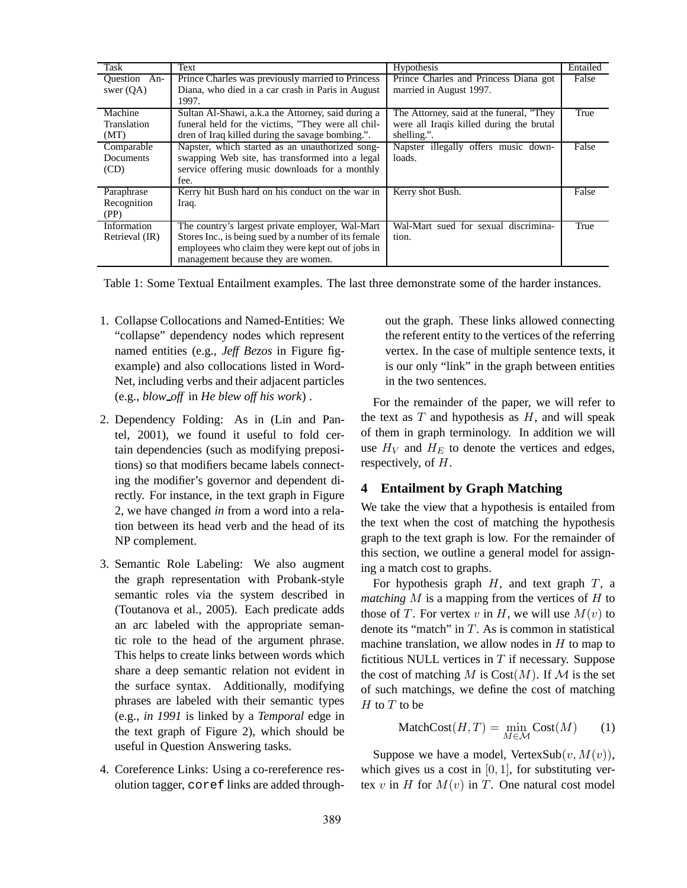| <b>Task</b>    | Text                                                 | <b>Hypothesis</b>                         | Entailed |
|----------------|------------------------------------------------------|-------------------------------------------|----------|
| Question An-   | Prince Charles was previously married to Princess    | Prince Charles and Princess Diana got     | False    |
| swer $(QA)$    | Diana, who died in a car crash in Paris in August    | married in August 1997.                   |          |
|                | 1997.                                                |                                           |          |
| Machine        | Sultan Al-Shawi, a.k.a the Attorney, said during a   | The Attorney, said at the funeral, "They" | True     |
| Translation    | funeral held for the victims, "They were all chil-   | were all Iraqis killed during the brutal  |          |
| (MT)           | dren of Iraq killed during the savage bombing.".     | shelling.".                               |          |
| Comparable     | Napster, which started as an unauthorized song-      | Napster illegally offers music down-      | False    |
| Documents      | swapping Web site, has transformed into a legal      | loads.                                    |          |
| (CD)           | service offering music downloads for a monthly       |                                           |          |
|                | fee.                                                 |                                           |          |
| Paraphrase     | Kerry hit Bush hard on his conduct on the war in     | Kerry shot Bush.                          | False    |
| Recognition    | Iraq.                                                |                                           |          |
| (PP)           |                                                      |                                           |          |
| Information    | The country's largest private employer, Wal-Mart     | Wal-Mart sued for sexual discrimina-      | True     |
| Retrieval (IR) | Stores Inc., is being sued by a number of its female | tion.                                     |          |
|                | employees who claim they were kept out of jobs in    |                                           |          |
|                | management because they are women.                   |                                           |          |

Table 1: Some Textual Entailment examples. The last three demonstrate some of the harder instances.

- 1. Collapse Collocations and Named-Entities: We "collapse" dependency nodes which represent named entities (e.g., *Jeff Bezos* in Figure figexample) and also collocations listed in Word-Net, including verbs and their adjacent particles (e.g., *blow off* in *He blew off his work*) .
- 2. Dependency Folding: As in (Lin and Pantel, 2001), we found it useful to fold certain dependencies (such as modifying prepositions) so that modifiers became labels connecting the modifier's governor and dependent directly. For instance, in the text graph in Figure 2, we have changed *in* from a word into a relation between its head verb and the head of its NP complement.
- 3. Semantic Role Labeling: We also augment the graph representation with Probank-style semantic roles via the system described in (Toutanova et al., 2005). Each predicate adds an arc labeled with the appropriate semantic role to the head of the argument phrase. This helps to create links between words which share a deep semantic relation not evident in the surface syntax. Additionally, modifying phrases are labeled with their semantic types (e.g., *in 1991* is linked by a *Temporal* edge in the text graph of Figure 2), which should be useful in Question Answering tasks.
- 4. Coreference Links: Using a co-rereference resolution tagger, coref links are added through-

out the graph. These links allowed connecting the referent entity to the vertices of the referring vertex. In the case of multiple sentence texts, it is our only "link" in the graph between entities in the two sentences.

For the remainder of the paper, we will refer to the text as  $T$  and hypothesis as  $H$ , and will speak of them in graph terminology. In addition we will use  $H_V$  and  $H_E$  to denote the vertices and edges, respectively, of H.

## **4 Entailment by Graph Matching**

We take the view that a hypothesis is entailed from the text when the cost of matching the hypothesis graph to the text graph is low. For the remainder of this section, we outline a general model for assigning a match cost to graphs.

For hypothesis graph  $H$ , and text graph  $T$ , a *matching* M is a mapping from the vertices of H to those of T. For vertex v in H, we will use  $M(v)$  to denote its "match" in  $T$ . As is common in statistical machine translation, we allow nodes in  $H$  to map to fictitious NULL vertices in  $T$  if necessary. Suppose the cost of matching M is  $Cost(M)$ . If M is the set of such matchings, we define the cost of matching  $H$  to  $T$  to be

$$
MatchCost(H, T) = \min_{M \in \mathcal{M}} Cost(M) \qquad (1)
$$

Suppose we have a model, VertexSub $(v, M(v))$ , which gives us a cost in  $[0, 1]$ , for substituting vertex v in H for  $M(v)$  in T. One natural cost model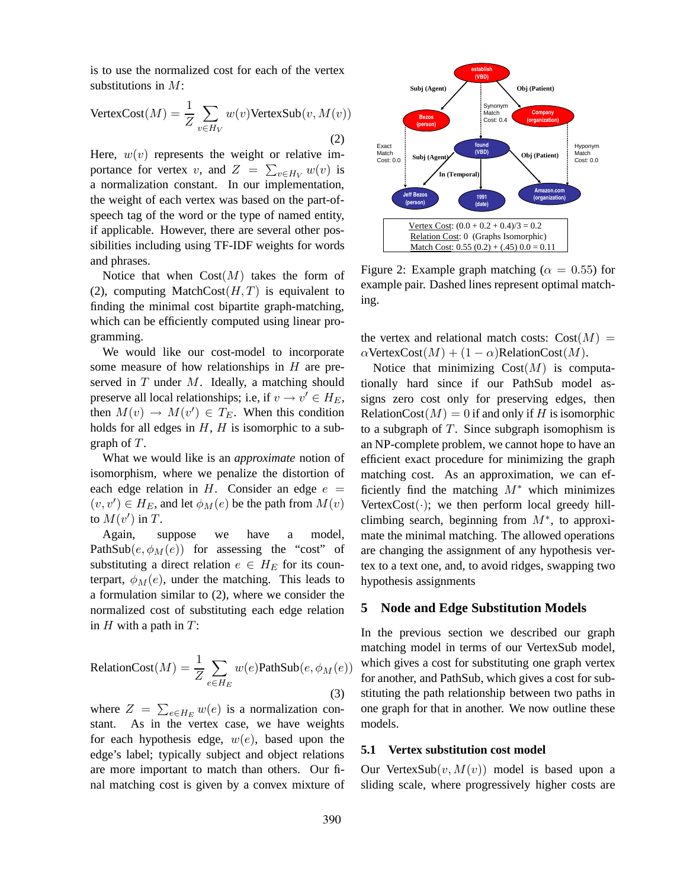is to use the normalized cost for each of the vertex substitutions in M:

$$
\text{VertexCost}(M) = \frac{1}{Z} \sum_{v \in H_V} w(v) \text{VertexSub}(v, M(v))
$$
\n(2)

Here,  $w(v)$  represents the weight or relative importance for vertex v, and  $Z = \sum_{v \in H_V} w(v)$  is a normalization constant. In our implementation, the weight of each vertex was based on the part-ofspeech tag of the word or the type of named entity, if applicable. However, there are several other possibilities including using TF-IDF weights for words and phrases.

Notice that when  $Cost(M)$  takes the form of (2), computing MatchCost $(H, T)$  is equivalent to finding the minimal cost bipartite graph-matching, which can be efficiently computed using linear programming.

We would like our cost-model to incorporate some measure of how relationships in  $H$  are preserved in  $T$  under  $M$ . Ideally, a matching should preserve all local relationships; i.e, if  $v \to v' \in H_E$ , then  $M(v) \to M(v') \in T_E$ . When this condition holds for all edges in  $H$ ,  $H$  is isomorphic to a subgraph of T.

What we would like is an *approximate* notion of isomorphism, where we penalize the distortion of each edge relation in H. Consider an edge  $e =$  $(v, v') \in H_E$ , and let  $\phi_M(e)$  be the path from  $M(v)$ to  $M(v')$  in T.

Again, suppose we have a model, PathSub $(e, \phi_M(e))$  for assessing the "cost" of substituting a direct relation  $e \in H_E$  for its counterpart,  $\phi_M(e)$ , under the matching. This leads to a formulation similar to (2), where we consider the normalized cost of substituting each edge relation in  $H$  with a path in  $T$ :

RelationCost
$$
(M)
$$
 =  $\frac{1}{Z} \sum_{e \in H_E} w(e)$ PathSub $(e, \phi_M(e))$  (3)

where  $Z = \sum_{e \in H_E} w(e)$  is a normalization constant. As in the vertex case, we have weights for each hypothesis edge,  $w(e)$ , based upon the edge's label; typically subject and object relations are more important to match than others. Our final matching cost is given by a convex mixture of



Figure 2: Example graph matching ( $\alpha = 0.55$ ) for example pair. Dashed lines represent optimal matching.

the vertex and relational match costs:  $Cost(M) =$  $\alpha$ VertexCost $(M) + (1 - \alpha)$ RelationCost $(M)$ .

Notice that minimizing  $Cost(M)$  is computationally hard since if our PathSub model assigns zero cost only for preserving edges, then RelationCost( $M$ ) = 0 if and only if H is isomorphic to a subgraph of  $T$ . Since subgraph isomophism is an NP-complete problem, we cannot hope to have an efficient exact procedure for minimizing the graph matching cost. As an approximation, we can efficiently find the matching  $M^*$  which minimizes Vertex $Cost(\cdot)$ ; we then perform local greedy hillclimbing search, beginning from  $M^*$ , to approximate the minimal matching. The allowed operations are changing the assignment of any hypothesis vertex to a text one, and, to avoid ridges, swapping two hypothesis assignments

### **5 Node and Edge Substitution Models**

In the previous section we described our graph matching model in terms of our VertexSub model, which gives a cost for substituting one graph vertex for another, and PathSub, which gives a cost for substituting the path relationship between two paths in one graph for that in another. We now outline these models.

### **5.1 Vertex substitution cost model**

Our VertexSub $(v, M(v))$  model is based upon a sliding scale, where progressively higher costs are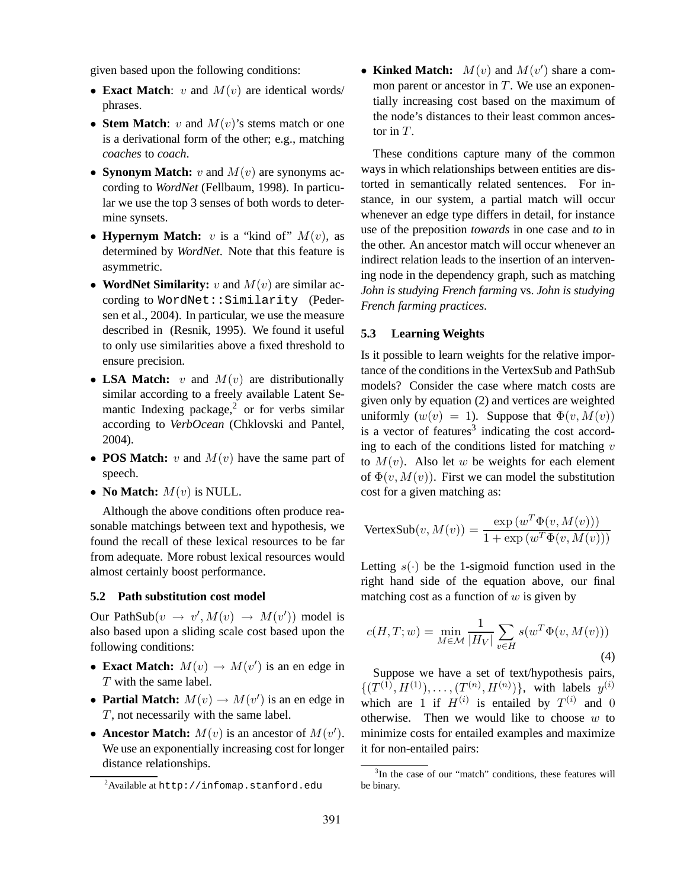given based upon the following conditions:

- **Exact Match**: v and  $M(v)$  are identical words/ phrases.
- **Stem Match**:  $v$  and  $M(v)$ 's stems match or one is a derivational form of the other; e.g., matching *coaches* to *coach*.
- **Synonym Match:**  $v$  and  $M(v)$  are synonyms according to *WordNet* (Fellbaum, 1998). In particular we use the top 3 senses of both words to determine synsets.
- **Hypernym Match:** v is a "kind of"  $M(v)$ , as determined by *WordNet*. Note that this feature is asymmetric.
- **WordNet Similarity:**  $v$  and  $M(v)$  are similar according to WordNet:: Similarity (Pedersen et al., 2004). In particular, we use the measure described in (Resnik, 1995). We found it useful to only use similarities above a fixed threshold to ensure precision.
- **LSA Match:**  $v$  and  $M(v)$  are distributionally similar according to a freely available Latent Semantic Indexing package,<sup>2</sup> or for verbs similar according to *VerbOcean* (Chklovski and Pantel, 2004).
- **POS Match:** v and  $M(v)$  have the same part of speech.
- **No Match:**  $M(v)$  is NULL.

Although the above conditions often produce reasonable matchings between text and hypothesis, we found the recall of these lexical resources to be far from adequate. More robust lexical resources would almost certainly boost performance.

#### **5.2 Path substitution cost model**

Our PathSub $(v \rightarrow v', M(v) \rightarrow M(v'))$  model is also based upon a sliding scale cost based upon the following conditions:

- **Exact Match:**  $M(v) \rightarrow M(v')$  is an en edge in T with the same label.
- **Partial Match:**  $M(v) \to M(v')$  is an en edge in T, not necessarily with the same label.
- **Ancestor Match:**  $M(v)$  is an ancestor of  $M(v')$ . We use an exponentially increasing cost for longer distance relationships.

• Kinked Match:  $M(v)$  and  $M(v')$  share a common parent or ancestor in  $T$ . We use an exponentially increasing cost based on the maximum of the node's distances to their least common ancestor in  $T$ .

These conditions capture many of the common ways in which relationships between entities are distorted in semantically related sentences. For instance, in our system, a partial match will occur whenever an edge type differs in detail, for instance use of the preposition *towards* in one case and *to* in the other. An ancestor match will occur whenever an indirect relation leads to the insertion of an intervening node in the dependency graph, such as matching *John is studying French farming* vs. *John is studying French farming practices*.

#### **5.3 Learning Weights**

Is it possible to learn weights for the relative importance of the conditions in the VertexSub and PathSub models? Consider the case where match costs are given only by equation (2) and vertices are weighted uniformly  $(w(v) = 1)$ . Suppose that  $\Phi(v, M(v))$ is a vector of features<sup>3</sup> indicating the cost according to each of the conditions listed for matching  $v$ to  $M(v)$ . Also let w be weights for each element of  $\Phi(v, M(v))$ . First we can model the substitution cost for a given matching as:

$$
VertexSub(v, M(v)) = \frac{\exp(w^T \Phi(v, M(v)))}{1 + \exp(w^T \Phi(v, M(v)))}
$$

Letting  $s(\cdot)$  be the 1-sigmoid function used in the right hand side of the equation above, our final matching cost as a function of  $w$  is given by

$$
c(H, T; w) = \min_{M \in \mathcal{M}} \frac{1}{|H_V|} \sum_{v \in H} s(w^T \Phi(v, M(v)))
$$
\n(4)

Suppose we have a set of text/hypothesis pairs,  $\{(T^{(1)}, H^{(1)}), \ldots, (T^{(n)}, H^{(n)})\},\$  with labels  $y^{(i)}$ which are 1 if  $H^{(i)}$  is entailed by  $T^{(i)}$  and 0 otherwise. Then we would like to choose  $w$  to minimize costs for entailed examples and maximize it for non-entailed pairs:

<sup>2</sup>Available at http://infomap.stanford.edu

<sup>&</sup>lt;sup>3</sup>In the case of our "match" conditions, these features will be binary.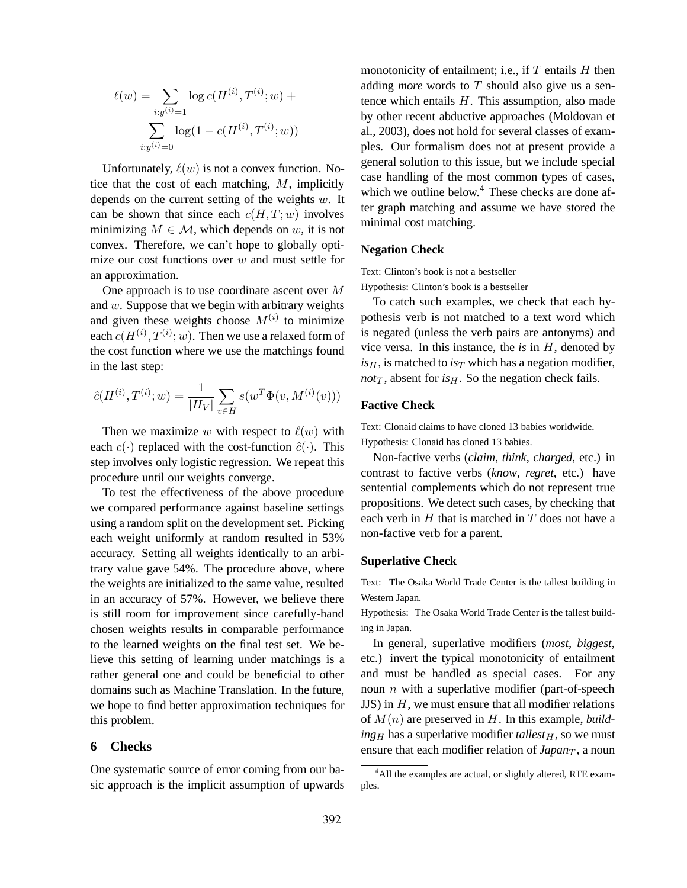$$
\ell(w) = \sum_{i:y^{(i)}=1} \log c(H^{(i)}, T^{(i)}; w) + \sum_{i:y^{(i)}=0} \log(1 - c(H^{(i)}, T^{(i)}; w))
$$

Unfortunately,  $\ell(w)$  is not a convex function. Notice that the cost of each matching,  $M$ , implicitly depends on the current setting of the weights  $w$ . It can be shown that since each  $c(H, T; w)$  involves minimizing  $M \in \mathcal{M}$ , which depends on w, it is not convex. Therefore, we can't hope to globally optimize our cost functions over  $w$  and must settle for an approximation.

One approach is to use coordinate ascent over M and  $w$ . Suppose that we begin with arbitrary weights and given these weights choose  $M^{(i)}$  to minimize each  $c(H^{(i)}, T^{(i)}; w).$  Then we use a relaxed form of the cost function where we use the matchings found in the last step:

$$
\hat{c}(H^{(i)}, T^{(i)}; w) = \frac{1}{|H_V|} \sum_{v \in H} s(w^T \Phi(v, M^{(i)}(v)))
$$

Then we maximize w with respect to  $\ell(w)$  with each  $c(\cdot)$  replaced with the cost-function  $\hat{c}(\cdot)$ . This step involves only logistic regression. We repeat this procedure until our weights converge.

To test the effectiveness of the above procedure we compared performance against baseline settings using a random split on the development set. Picking each weight uniformly at random resulted in 53% accuracy. Setting all weights identically to an arbitrary value gave 54%. The procedure above, where the weights are initialized to the same value, resulted in an accuracy of 57%. However, we believe there is still room for improvement since carefully-hand chosen weights results in comparable performance to the learned weights on the final test set. We believe this setting of learning under matchings is a rather general one and could be beneficial to other domains such as Machine Translation. In the future, we hope to find better approximation techniques for this problem.

# **6 Checks**

One systematic source of error coming from our basic approach is the implicit assumption of upwards monotonicity of entailment; i.e., if  $T$  entails  $H$  then adding *more* words to T should also give us a sentence which entails  $H$ . This assumption, also made by other recent abductive approaches (Moldovan et al., 2003), does not hold for several classes of examples. Our formalism does not at present provide a general solution to this issue, but we include special case handling of the most common types of cases, which we outline below.<sup>4</sup> These checks are done after graph matching and assume we have stored the minimal cost matching.

#### **Negation Check**

Text: Clinton's book is not a bestseller

Hypothesis: Clinton's book is a bestseller

To catch such examples, we check that each hypothesis verb is not matched to a text word which is negated (unless the verb pairs are antonyms) and vice versa. In this instance, the *is* in H, denoted by  $is_H$ , is matched to  $is_T$  which has a negation modifier,  $not_T$ , absent for  $is_H$ . So the negation check fails.

## **Factive Check**

Text: Clonaid claims to have cloned 13 babies worldwide. Hypothesis: Clonaid has cloned 13 babies.

Non-factive verbs (*claim*, *think*, *charged*, etc.) in contrast to factive verbs (*know*, *regret*, etc.) have sentential complements which do not represent true propositions. We detect such cases, by checking that each verb in  $H$  that is matched in  $T$  does not have a non-factive verb for a parent.

#### **Superlative Check**

Text: The Osaka World Trade Center is the tallest building in Western Japan.

Hypothesis: The Osaka World Trade Center is the tallest building in Japan.

In general, superlative modifiers (*most*, *biggest*, etc.) invert the typical monotonicity of entailment and must be handled as special cases. For any noun  $n$  with a superlative modifier (part-of-speech  $JJS$ ) in  $H$ , we must ensure that all modifier relations of M(n) are preserved in H. In this example, *build* $ing<sub>H</sub>$  has a superlative modifier *tallest*<sub>H</sub>, so we must ensure that each modifier relation of  $Japan<sub>T</sub>$ , a noun

<sup>&</sup>lt;sup>4</sup>All the examples are actual, or slightly altered, RTE examples.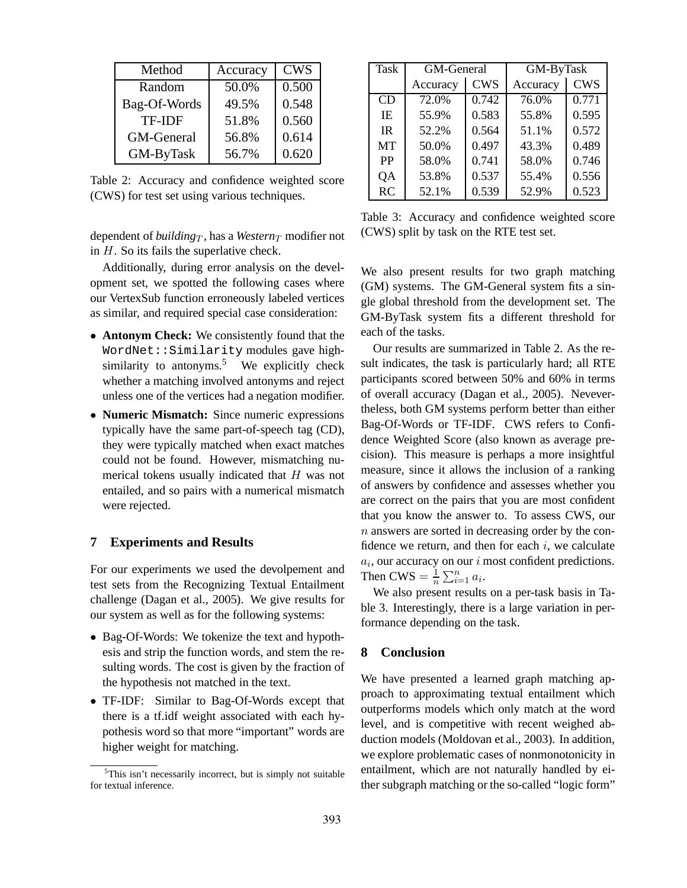| Method            | Accuracy | <b>CWS</b> |
|-------------------|----------|------------|
| Random            | 50.0%    | 0.500      |
| Bag-Of-Words      | 49.5%    | 0.548      |
| <b>TF-IDF</b>     | 51.8%    | 0.560      |
| <b>GM-General</b> | 56.8%    | 0.614      |
| GM-ByTask         | 56.7%    | 0.620      |

Table 2: Accuracy and confidence weighted score (CWS) for test set using various techniques.

dependent of *building*<sub>T</sub>, has a *Western*<sub>T</sub> modifier not in H. So its fails the superlative check.

Additionally, during error analysis on the development set, we spotted the following cases where our VertexSub function erroneously labeled vertices as similar, and required special case consideration:

- **Antonym Check:** We consistently found that the WordNet::Similarity modules gave highsimilarity to antonyms.<sup>5</sup> We explicitly check whether a matching involved antonyms and reject unless one of the vertices had a negation modifier.
- **Numeric Mismatch:** Since numeric expressions typically have the same part-of-speech tag (CD), they were typically matched when exact matches could not be found. However, mismatching numerical tokens usually indicated that H was not entailed, and so pairs with a numerical mismatch were rejected.

## **7 Experiments and Results**

For our experiments we used the devolpement and test sets from the Recognizing Textual Entailment challenge (Dagan et al., 2005). We give results for our system as well as for the following systems:

- Bag-Of-Words: We tokenize the text and hypothesis and strip the function words, and stem the resulting words. The cost is given by the fraction of the hypothesis not matched in the text.
- TF-IDF: Similar to Bag-Of-Words except that there is a tf.idf weight associated with each hypothesis word so that more "important" words are higher weight for matching.

| <b>Task</b> | <b>GM-General</b> |            | GM-ByTask |            |  |
|-------------|-------------------|------------|-----------|------------|--|
|             | Accuracy          | <b>CWS</b> | Accuracy  | <b>CWS</b> |  |
| CD          | 72.0%             | 0.742      | 76.0%     | 0.771      |  |
| IE          | 55.9%             | 0.583      | 55.8%     | 0.595      |  |
| IR          | 52.2%             | 0.564      | 51.1%     | 0.572      |  |
| <b>MT</b>   | 50.0%             | 0.497      | 43.3%     | 0.489      |  |
| PP          | 58.0%             | 0.741      | 58.0%     | 0.746      |  |
| QA          | 53.8%             | 0.537      | 55.4%     | 0.556      |  |
| RC          | 52.1%             | 0.539      | 52.9%     | 0.523      |  |

Table 3: Accuracy and confidence weighted score (CWS) split by task on the RTE test set.

We also present results for two graph matching (GM) systems. The GM-General system fits a single global threshold from the development set. The GM-ByTask system fits a different threshold for each of the tasks.

Our results are summarized in Table 2. As the result indicates, the task is particularly hard; all RTE participants scored between 50% and 60% in terms of overall accuracy (Dagan et al., 2005). Nevevertheless, both GM systems perform better than either Bag-Of-Words or TF-IDF. CWS refers to Confidence Weighted Score (also known as average precision). This measure is perhaps a more insightful measure, since it allows the inclusion of a ranking of answers by confidence and assesses whether you are correct on the pairs that you are most confident that you know the answer to. To assess CWS, our n answers are sorted in decreasing order by the confidence we return, and then for each  $i$ , we calculate  $a_i$ , our accuracy on our  $i$  most confident predictions. Then CWS =  $\frac{1}{n} \sum_{i=1}^{n} a_i$ .

We also present results on a per-task basis in Table 3. Interestingly, there is a large variation in performance depending on the task.

### **8 Conclusion**

We have presented a learned graph matching approach to approximating textual entailment which outperforms models which only match at the word level, and is competitive with recent weighed abduction models (Moldovan et al., 2003). In addition, we explore problematic cases of nonmonotonicity in entailment, which are not naturally handled by either subgraph matching or the so-called "logic form"

 $5$ This isn't necessarily incorrect, but is simply not suitable for textual inference.